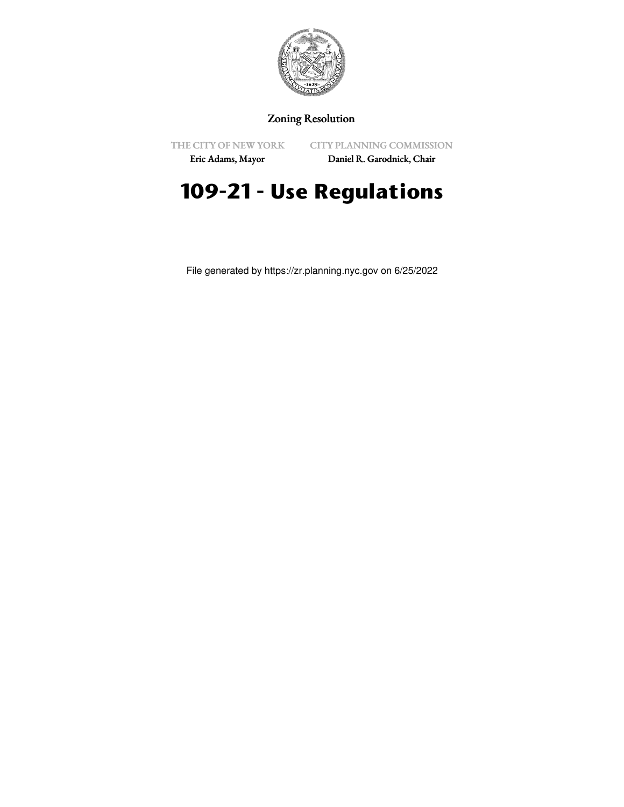

## Zoning Resolution

THE CITY OF NEW YORK

CITY PLANNING COMMISSION

Eric Adams, Mayor

Daniel R. Garodnick, Chair

# **109-21 - Use Regulations**

File generated by https://zr.planning.nyc.gov on 6/25/2022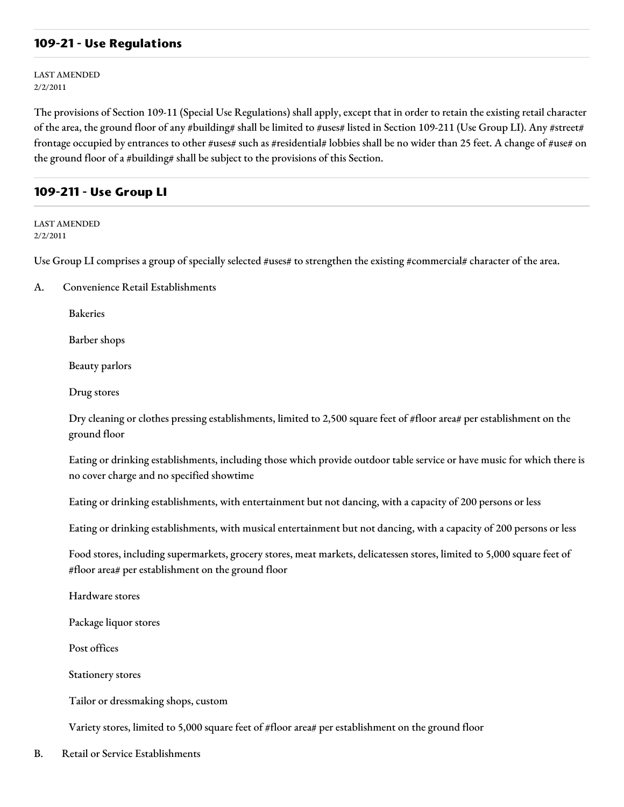### **109-21 - Use Regulations**

LAST AMENDED 2/2/2011

The provisions of Section 109-11 (Special Use Regulations) shall apply, except that in order to retain the existing retail character of the area, the ground floor of any #building# shall be limited to #uses# listed in Section 109-211 (Use Group LI). Any #street# frontage occupied by entrances to other #uses# such as #residential# lobbies shall be no wider than 25 feet. A change of #use# on the ground floor of a #building# shall be subject to the provisions of this Section.

### **109-211 - Use Group LI**

LAST AMENDED 2/2/2011

Use Group LI comprises a group of specially selected #uses# to strengthen the existing #commercial# character of the area.

A. Convenience Retail Establishments

Bakeries

Barber shops

Beauty parlors

Drug stores

Dry cleaning or clothes pressing establishments, limited to 2,500 square feet of #floor area# per establishment on the ground floor

Eating or drinking establishments, including those which provide outdoor table service or have music for which there is no cover charge and no specified showtime

Eating or drinking establishments, with entertainment but not dancing, with a capacity of 200 persons or less

Eating or drinking establishments, with musical entertainment but not dancing, with a capacity of 200 persons or less

Food stores, including supermarkets, grocery stores, meat markets, delicatessen stores, limited to 5,000 square feet of #floor area# per establishment on the ground floor

Hardware stores

Package liquor stores

Post offices

Stationery stores

Tailor or dressmaking shops, custom

Variety stores, limited to 5,000 square feet of #floor area# per establishment on the ground floor

B. Retail or Service Establishments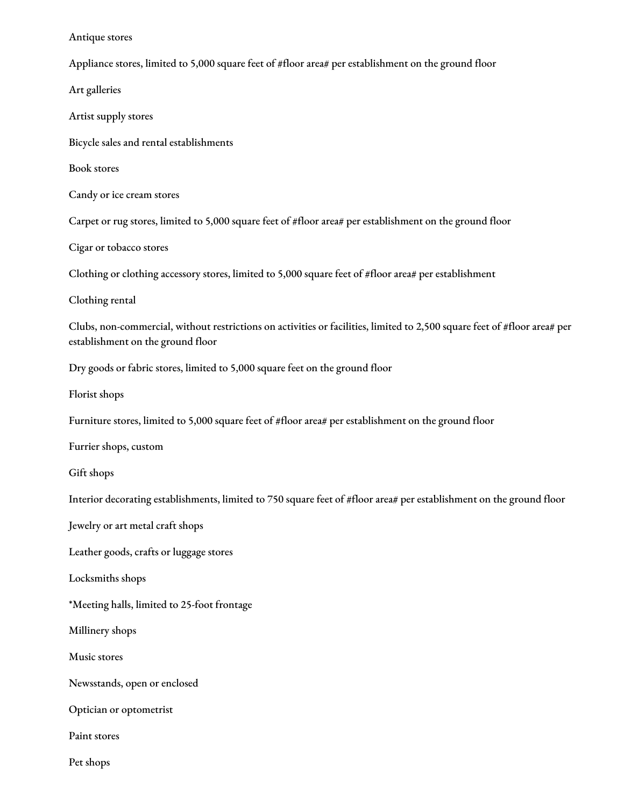#### Antique stores

Appliance stores, limited to 5,000 square feet of #floor area# per establishment on the ground floor

Art galleries Artist supply stores Bicycle sales and rental establishments Book stores Candy or ice cream stores Carpet or rug stores, limited to 5,000 square feet of #floor area# per establishment on the ground floor Cigar or tobacco stores Clothing or clothing accessory stores, limited to 5,000 square feet of #floor area# per establishment Clothing rental Clubs, non-commercial, without restrictions on activities or facilities, limited to 2,500 square feet of #floor area# per establishment on the ground floor Dry goods or fabric stores, limited to 5,000 square feet on the ground floor Florist shops Furniture stores, limited to 5,000 square feet of #floor area# per establishment on the ground floor Furrier shops, custom Gift shops Interior decorating establishments, limited to 750 square feet of #floor area# per establishment on the ground floor Jewelry or art metal craft shops Leather goods, crafts or luggage stores Locksmiths shops \*Meeting halls, limited to 25-foot frontage Millinery shops Music stores Newsstands, open or enclosed Optician or optometrist Paint stores Pet shops